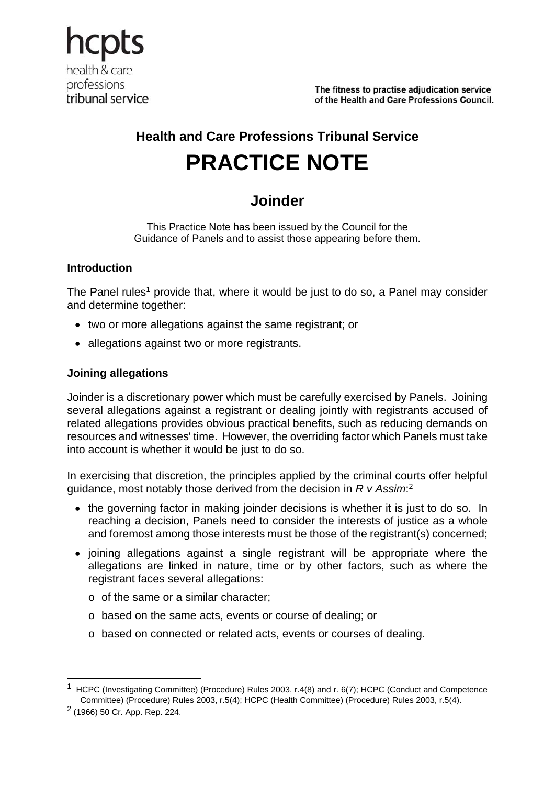

The fitness to practise adiudication service of the Health and Care Professions Council.

# **Health and Care Professions Tribunal Service PRACTICE NOTE**

# **Joinder**

This Practice Note has been issued by the Council for the Guidance of Panels and to assist those appearing before them.

## **Introduction**

The Panel rules<sup>1</sup> provide that, where it would be just to do so, a Panel may consider and determine together:

- two or more allegations against the same registrant; or
- allegations against two or more registrants.

## **Joining allegations**

Joinder is a discretionary power which must be carefully exercised by Panels. Joining several allegations against a registrant or dealing jointly with registrants accused of related allegations provides obvious practical benefits, such as reducing demands on resources and witnesses' time. However, the overriding factor which Panels must take into account is whether it would be just to do so.

In exercising that discretion, the principles applied by the criminal courts offer helpful guidance, most notably those derived from the decision in *R v Assim*: 2

- the governing factor in making joinder decisions is whether it is just to do so. In reaching a decision, Panels need to consider the interests of justice as a whole and foremost among those interests must be those of the registrant(s) concerned;
- joining allegations against a single registrant will be appropriate where the allegations are linked in nature, time or by other factors, such as where the registrant faces several allegations:
	- o of the same or a similar character;
	- o based on the same acts, events or course of dealing; or
	- o based on connected or related acts, events or courses of dealing.

1

<sup>&</sup>lt;sup>1</sup> HCPC (Investigating Committee) (Procedure) Rules 2003, r.4(8) and r. 6(7); HCPC (Conduct and Competence Committee) (Procedure) Rules 2003, r.5(4); HCPC (Health Committee) (Procedure) Rules 2003, r.5(4).

<sup>2 (1966) 50</sup> Cr. App. Rep. 224.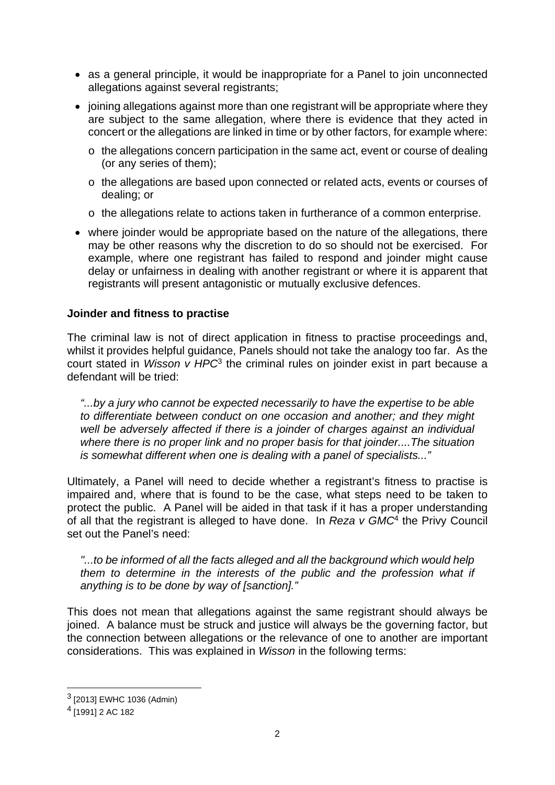- as a general principle, it would be inappropriate for a Panel to join unconnected allegations against several registrants;
- joining allegations against more than one registrant will be appropriate where they are subject to the same allegation, where there is evidence that they acted in concert or the allegations are linked in time or by other factors, for example where:
	- o the allegations concern participation in the same act, event or course of dealing (or any series of them);
	- o the allegations are based upon connected or related acts, events or courses of dealing; or
	- o the allegations relate to actions taken in furtherance of a common enterprise.
- where joinder would be appropriate based on the nature of the allegations, there may be other reasons why the discretion to do so should not be exercised. For example, where one registrant has failed to respond and joinder might cause delay or unfairness in dealing with another registrant or where it is apparent that registrants will present antagonistic or mutually exclusive defences.

#### **Joinder and fitness to practise**

The criminal law is not of direct application in fitness to practise proceedings and, whilst it provides helpful guidance, Panels should not take the analogy too far. As the court stated in *Wisson v HPC*3 the criminal rules on joinder exist in part because a defendant will be tried:

*"...by a jury who cannot be expected necessarily to have the expertise to be able to differentiate between conduct on one occasion and another; and they might well be adversely affected if there is a joinder of charges against an individual where there is no proper link and no proper basis for that joinder....The situation is somewhat different when one is dealing with a panel of specialists..."* 

Ultimately, a Panel will need to decide whether a registrant's fitness to practise is impaired and, where that is found to be the case, what steps need to be taken to protect the public. A Panel will be aided in that task if it has a proper understanding of all that the registrant is alleged to have done. In *Reza v GMC*4 the Privy Council set out the Panel's need:

*"...to be informed of all the facts alleged and all the background which would help*  them to determine in the interests of the public and the profession what if *anything is to be done by way of [sanction]."* 

This does not mean that allegations against the same registrant should always be joined. A balance must be struck and justice will always be the governing factor, but the connection between allegations or the relevance of one to another are important considerations. This was explained in *Wisson* in the following terms:

 $\overline{a}$ 

<sup>3 [2013]</sup> EWHC 1036 (Admin)

<sup>4 [1991] 2</sup> AC 182